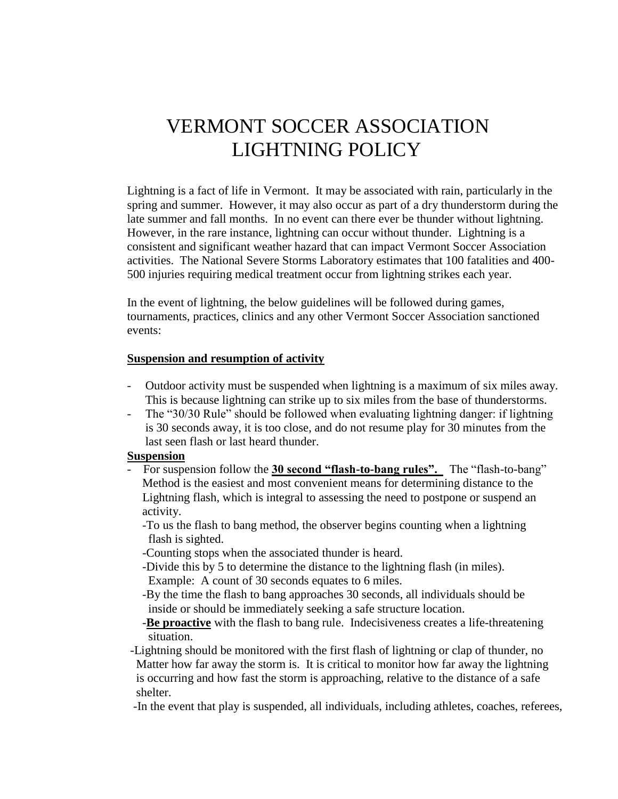# VERMONT SOCCER ASSOCIATION LIGHTNING POLICY

Lightning is a fact of life in Vermont. It may be associated with rain, particularly in the spring and summer. However, it may also occur as part of a dry thunderstorm during the late summer and fall months. In no event can there ever be thunder without lightning. However, in the rare instance, lightning can occur without thunder. Lightning is a consistent and significant weather hazard that can impact Vermont Soccer Association activities. The National Severe Storms Laboratory estimates that 100 fatalities and 400- 500 injuries requiring medical treatment occur from lightning strikes each year.

In the event of lightning, the below guidelines will be followed during games, tournaments, practices, clinics and any other Vermont Soccer Association sanctioned events:

### **Suspension and resumption of activity**

- Outdoor activity must be suspended when lightning is a maximum of six miles away. This is because lightning can strike up to six miles from the base of thunderstorms.
- The "30/30 Rule" should be followed when evaluating lightning danger: if lightning is 30 seconds away, it is too close, and do not resume play for 30 minutes from the last seen flash or last heard thunder.

#### **Suspension**

 - For suspension follow the **30 second "flash-to-bang rules".** The "flash-to-bang" Method is the easiest and most convenient means for determining distance to the Lightning flash, which is integral to assessing the need to postpone or suspend an activity.

 -To us the flash to bang method, the observer begins counting when a lightning flash is sighted.

-Counting stops when the associated thunder is heard.

- -Divide this by 5 to determine the distance to the lightning flash (in miles).
- Example: A count of 30 seconds equates to 6 miles.

 -By the time the flash to bang approaches 30 seconds, all individuals should be inside or should be immediately seeking a safe structure location.

 -**Be proactive** with the flash to bang rule. Indecisiveness creates a life-threatening situation.

 -Lightning should be monitored with the first flash of lightning or clap of thunder, no Matter how far away the storm is. It is critical to monitor how far away the lightning is occurring and how fast the storm is approaching, relative to the distance of a safe shelter.

-In the event that play is suspended, all individuals, including athletes, coaches, referees,